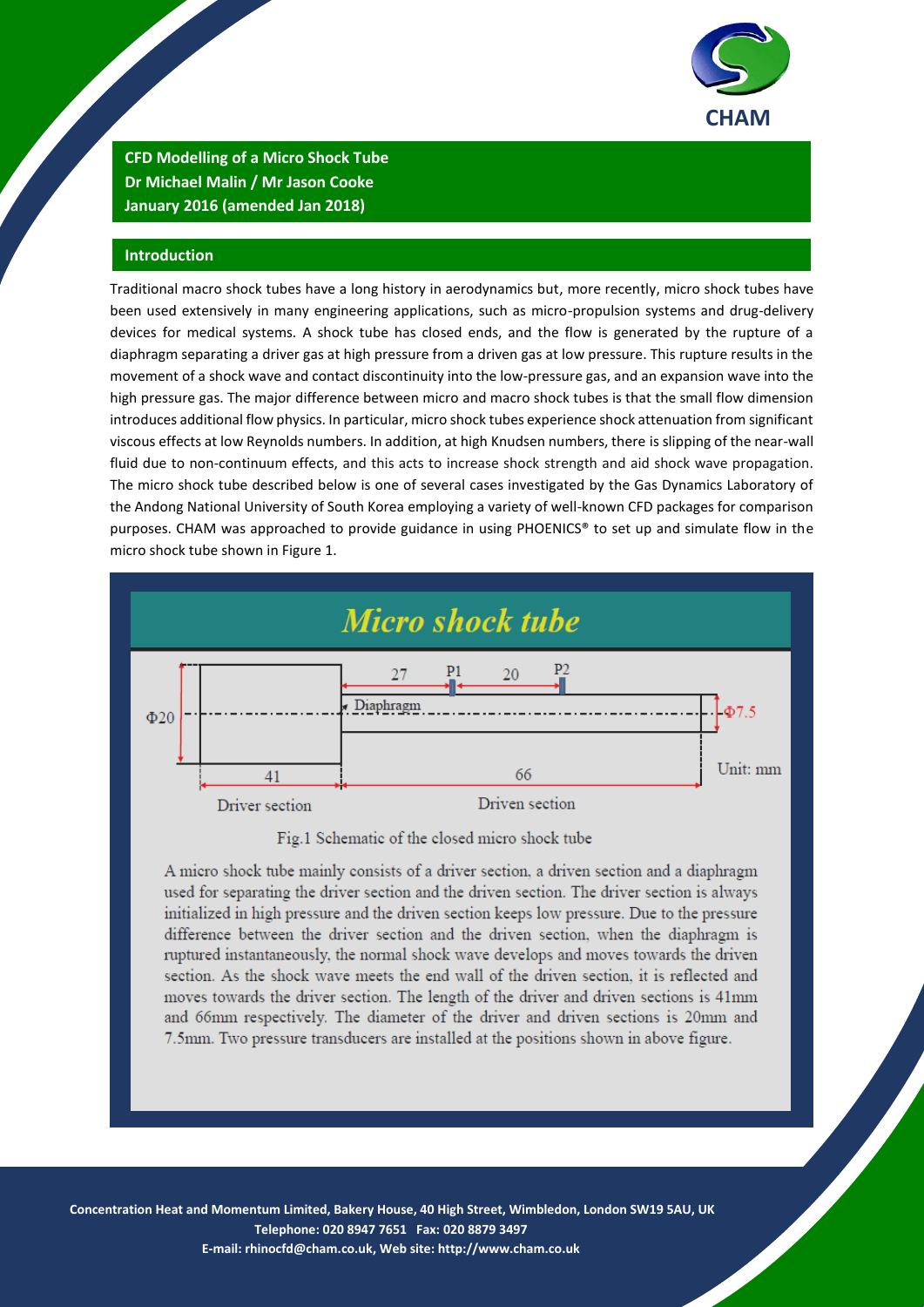

**CFD Modelling of a Micro Shock Tube Dr Michael Malin / Mr Jason Cooke January 2016 (amended Jan 2018)**

## **Introduction**

Traditional macro shock tubes have a long history in aerodynamics but, more recently, micro shock tubes have been used extensively in many engineering applications, such as micro-propulsion systems and drug-delivery devices for medical systems. A shock tube has closed ends, and the flow is generated by the rupture of a diaphragm separating a driver gas at high pressure from a driven gas at low pressure. This rupture results in the movement of a shock wave and contact discontinuity into the low-pressure gas, and an expansion wave into the high pressure gas. The major difference between micro and macro shock tubes is that the small flow dimension introduces additional flow physics. In particular, micro shock tubes experience shock attenuation from significant viscous effects at low Reynolds numbers. In addition, at high Knudsen numbers, there is slipping of the near-wall fluid due to non-continuum effects, and this acts to increase shock strength and aid shock wave propagation. The micro shock tube described below is one of several cases investigated by the Gas Dynamics Laboratory of the Andong National University of South Korea employing a variety of well-known CFD packages for comparison purposes. CHAM was approached to provide guidance in using PHOENICS® to set up and simulate flow in the micro shock tube shown in Figure 1.



Fig.1 Schematic of the closed micro shock tube

A micro shock tube mainly consists of a driver section, a driven section and a diaphragm used for separating the driver section and the driven section. The driver section is always initialized in high pressure and the driven section keeps low pressure. Due to the pressure difference between the driver section and the driven section, when the diaphragm is ruptured instantaneously, the normal shock wave develops and moves towards the driven section. As the shock wave meets the end wall of the driven section, it is reflected and moves towards the driver section. The length of the driver and driven sections is 41mm and 66mm respectively. The diameter of the driver and driven sections is 20mm and 7.5mm. Two pressure transducers are installed at the positions shown in above figure.

1 **Telephone: 020 8947 7651 Fax: 020 8879 3497 Concentration Heat and Momentum Limited, Bakery House, 40 High Street, Wimbledon, London SW19 5AU, UK E-mail: [rhinocfd@cham.co.uk,](mailto:rhinocfd@cham.co.uk) Web site[: http://www.cham.co.uk](http://www.cham.co.uk/)**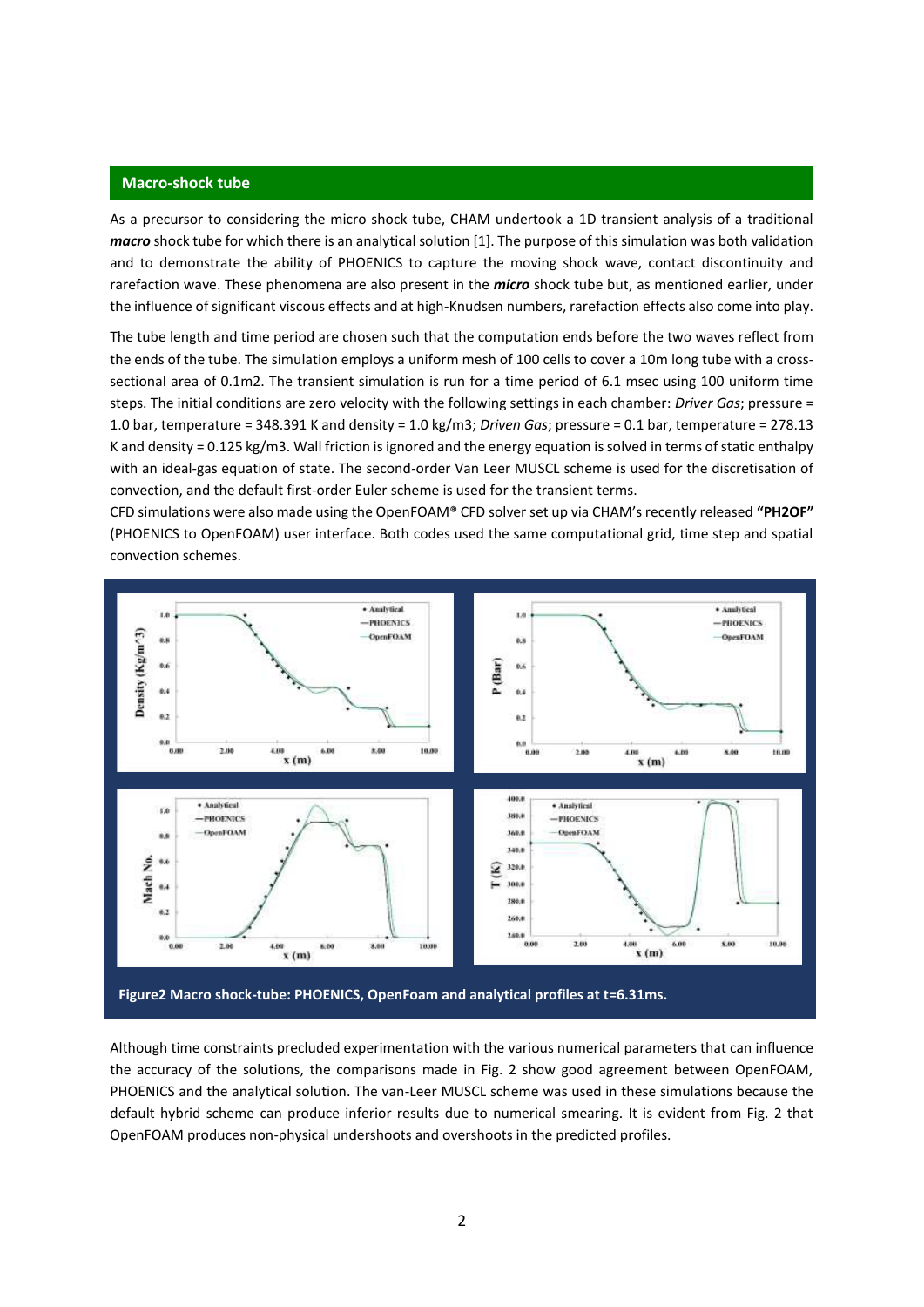#### **Macro-shock tube**

As a precursor to considering the micro shock tube, CHAM undertook a 1D transient analysis of a traditional *macro* shock tube for which there is an analytical solution [1]. The purpose of this simulation was both validation and to demonstrate the ability of PHOENICS to capture the moving shock wave, contact discontinuity and rarefaction wave. These phenomena are also present in the *micro* shock tube but, as mentioned earlier, under the influence of significant viscous effects and at high-Knudsen numbers, rarefaction effects also come into play.

The tube length and time period are chosen such that the computation ends before the two waves reflect from the ends of the tube. The simulation employs a uniform mesh of 100 cells to cover a 10m long tube with a crosssectional area of 0.1m2. The transient simulation is run for a time period of 6.1 msec using 100 uniform time steps. The initial conditions are zero velocity with the following settings in each chamber: *Driver Gas*; pressure = 1.0 bar, temperature = 348.391 K and density = 1.0 kg/m3; *Driven Gas*; pressure = 0.1 bar, temperature = 278.13 K and density = 0.125 kg/m3. Wall friction is ignored and the energy equation is solved in terms of static enthalpy with an ideal-gas equation of state. The second-order Van Leer MUSCL scheme is used for the discretisation of convection, and the default first-order Euler scheme is used for the transient terms.

CFD simulations were also made using the OpenFOAM® CFD solver set up via CHAM's recently released **"PH2OF"**  (PHOENICS to OpenFOAM) user interface. Both codes used the same computational grid, time step and spatial convection schemes.



Although time constraints precluded experimentation with the various numerical parameters that can influence the accuracy of the solutions, the comparisons made in Fig. 2 show good agreement between OpenFOAM, PHOENICS and the analytical solution. The van-Leer MUSCL scheme was used in these simulations because the default hybrid scheme can produce inferior results due to numerical smearing. It is evident from Fig. 2 that OpenFOAM produces non-physical undershoots and overshoots in the predicted profiles.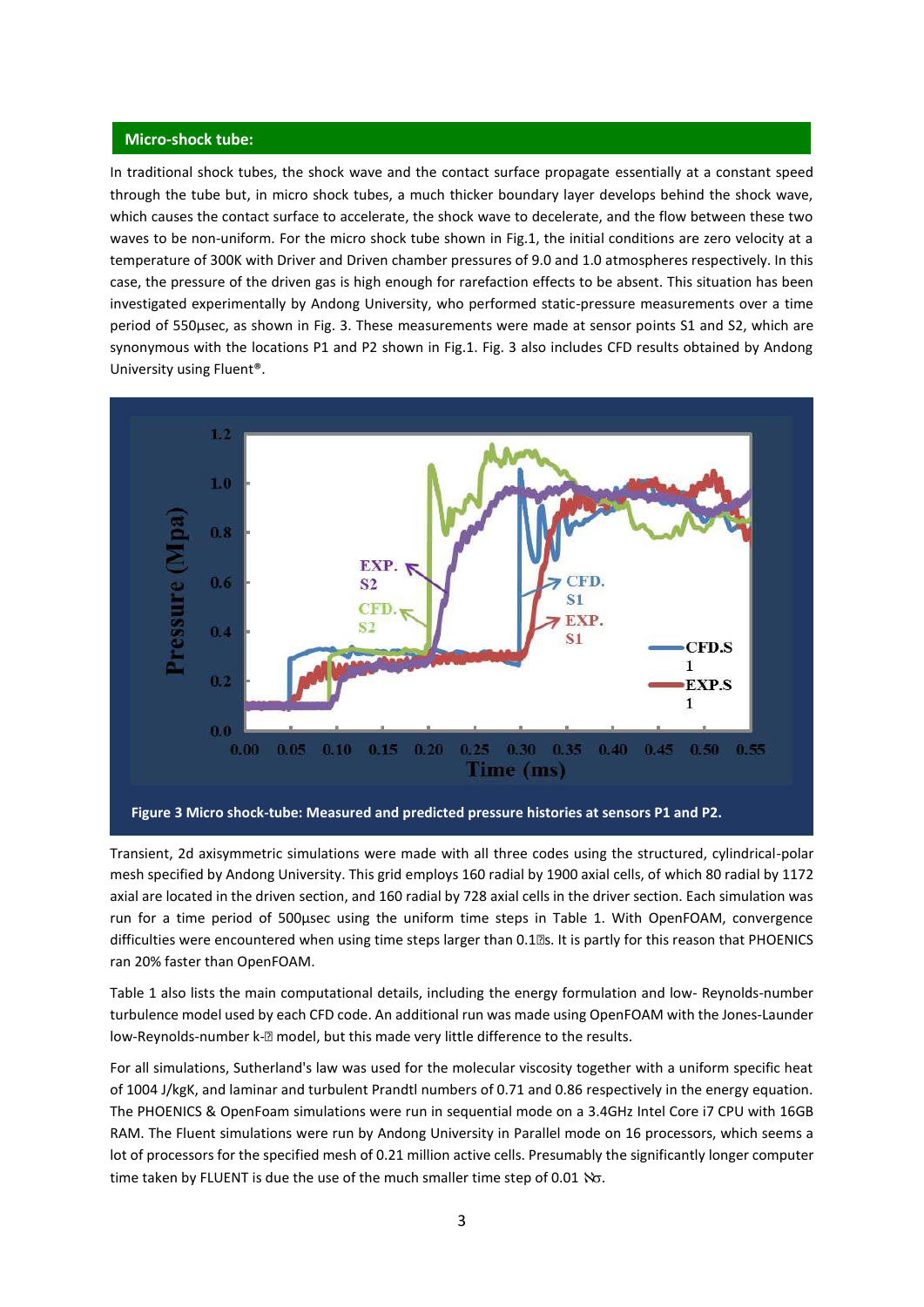### **Micro-shock tube:**

In traditional shock tubes, the shock wave and the contact surface propagate essentially at a constant speed through the tube but, in micro shock tubes, a much thicker boundary layer develops behind the shock wave, which causes the contact surface to accelerate, the shock wave to decelerate, and the flow between these two waves to be non-uniform. For the micro shock tube shown in Fig.1, the initial conditions are zero velocity at a temperature of 300K with Driver and Driven chamber pressures of 9.0 and 1.0 atmospheres respectively. In this case, the pressure of the driven gas is high enough for rarefaction effects to be absent. This situation has been investigated experimentally by Andong University, who performed static-pressure measurements over a time period of 550μsec, as shown in Fig. 3. These measurements were made at sensor points S1 and S2, which are synonymous with the locations P1 and P2 shown in Fig.1. Fig. 3 also includes CFD results obtained by Andong University using Fluent®.



Transient, 2d axisymmetric simulations were made with all three codes using the structured, cylindrical-polar mesh specified by Andong University. This grid employs 160 radial by 1900 axial cells, of which 80 radial by 1172 axial are located in the driven section, and 160 radial by 728 axial cells in the driver section. Each simulation was run for a time period of 500μsec using the uniform time steps in Table 1. With OpenFOAM, convergence difficulties were encountered when using time steps larger than 0.1<sup>®</sup>s. It is partly for this reason that PHOENICS ran 20% faster than OpenFOAM.

Table 1 also lists the main computational details, including the energy formulation and low- Reynolds-number turbulence model used by each CFD code. An additional run was made using OpenFOAM with the Jones-Launder low-Reynolds-number k-2 model, but this made very little difference to the results.

For all simulations, Sutherland's law was used for the molecular viscosity together with a uniform specific heat of 1004 J/kgK, and laminar and turbulent Prandtl numbers of 0.71 and 0.86 respectively in the energy equation. The PHOENICS & OpenFoam simulations were run in sequential mode on a 3.4GHz Intel Core i7 CPU with 16GB RAM. The Fluent simulations were run by Andong University in Parallel mode on 16 processors, which seems a lot of processors for the specified mesh of 0.21 million active cells. Presumably the significantly longer computer time taken by FLUENT is due the use of the much smaller time step of 0.01  $\%$ .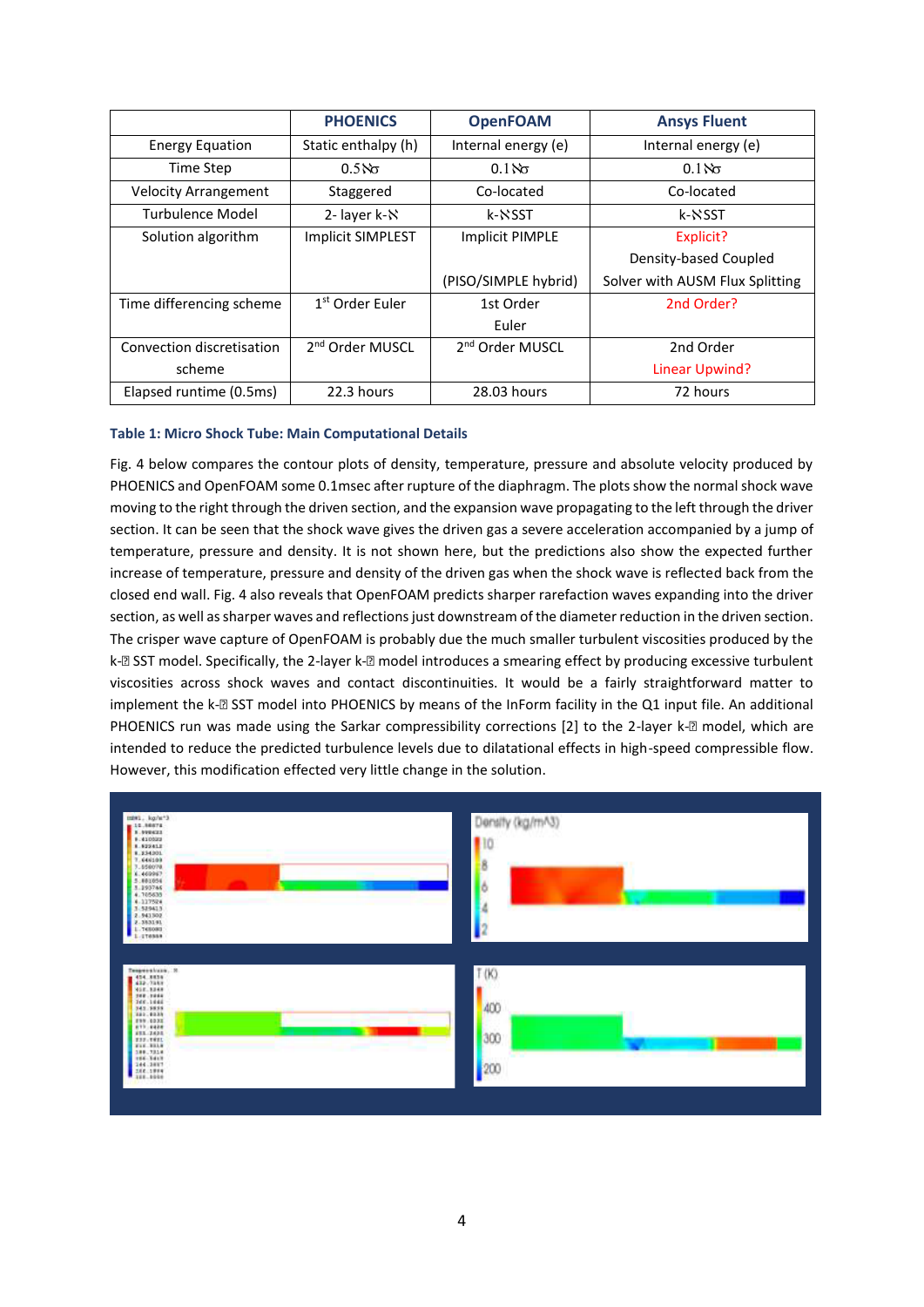|                             | <b>PHOENICS</b>             | <b>OpenFOAM</b>             | <b>Ansys Fluent</b>             |
|-----------------------------|-----------------------------|-----------------------------|---------------------------------|
| <b>Energy Equation</b>      | Static enthalpy (h)         | Internal energy (e)         | Internal energy (e)             |
| Time Step                   | 0.5 $\%$                    | 0.1 $\aleph$                | 0.1 $\lambda \sigma$            |
| <b>Velocity Arrangement</b> | Staggered                   | Co-located                  | Co-located                      |
| Turbulence Model            | 2-layer k-N                 | k-NSST                      | k-NSST                          |
| Solution algorithm          | <b>Implicit SIMPLEST</b>    | <b>Implicit PIMPLE</b>      | Explicit?                       |
|                             |                             |                             | Density-based Coupled           |
|                             |                             | (PISO/SIMPLE hybrid)        | Solver with AUSM Flux Splitting |
| Time differencing scheme    | 1 <sup>st</sup> Order Euler | 1st Order                   | 2nd Order?                      |
|                             |                             | Euler                       |                                 |
| Convection discretisation   | 2 <sup>nd</sup> Order MUSCL | 2 <sup>nd</sup> Order MUSCL | 2nd Order                       |
| scheme                      |                             |                             | Linear Upwind?                  |
| Elapsed runtime (0.5ms)     | 22.3 hours                  | 28.03 hours                 | 72 hours                        |

## **Table 1: Micro Shock Tube: Main Computational Details**

Fig. 4 below compares the contour plots of density, temperature, pressure and absolute velocity produced by PHOENICS and OpenFOAM some 0.1msec after rupture of the diaphragm. The plots show the normal shock wave moving to the right through the driven section, and the expansion wave propagating to the left through the driver section. It can be seen that the shock wave gives the driven gas a severe acceleration accompanied by a jump of temperature, pressure and density. It is not shown here, but the predictions also show the expected further increase of temperature, pressure and density of the driven gas when the shock wave is reflected back from the closed end wall. Fig. 4 also reveals that OpenFOAM predicts sharper rarefaction waves expanding into the driver section, as well as sharper waves and reflections just downstream of the diameter reduction in the driven section. The crisper wave capture of OpenFOAM is probably due the much smaller turbulent viscosities produced by the k-2 SST model. Specifically, the 2-layer k-2 model introduces a smearing effect by producing excessive turbulent viscosities across shock waves and contact discontinuities. It would be a fairly straightforward matter to implement the k-2 SST model into PHOENICS by means of the InForm facility in the Q1 input file. An additional PHOENICS run was made using the Sarkar compressibility corrections [2] to the 2-layer k-2 model, which are intended to reduce the predicted turbulence levels due to dilatational effects in high-speed compressible flow. However, this modification effected very little change in the solution.

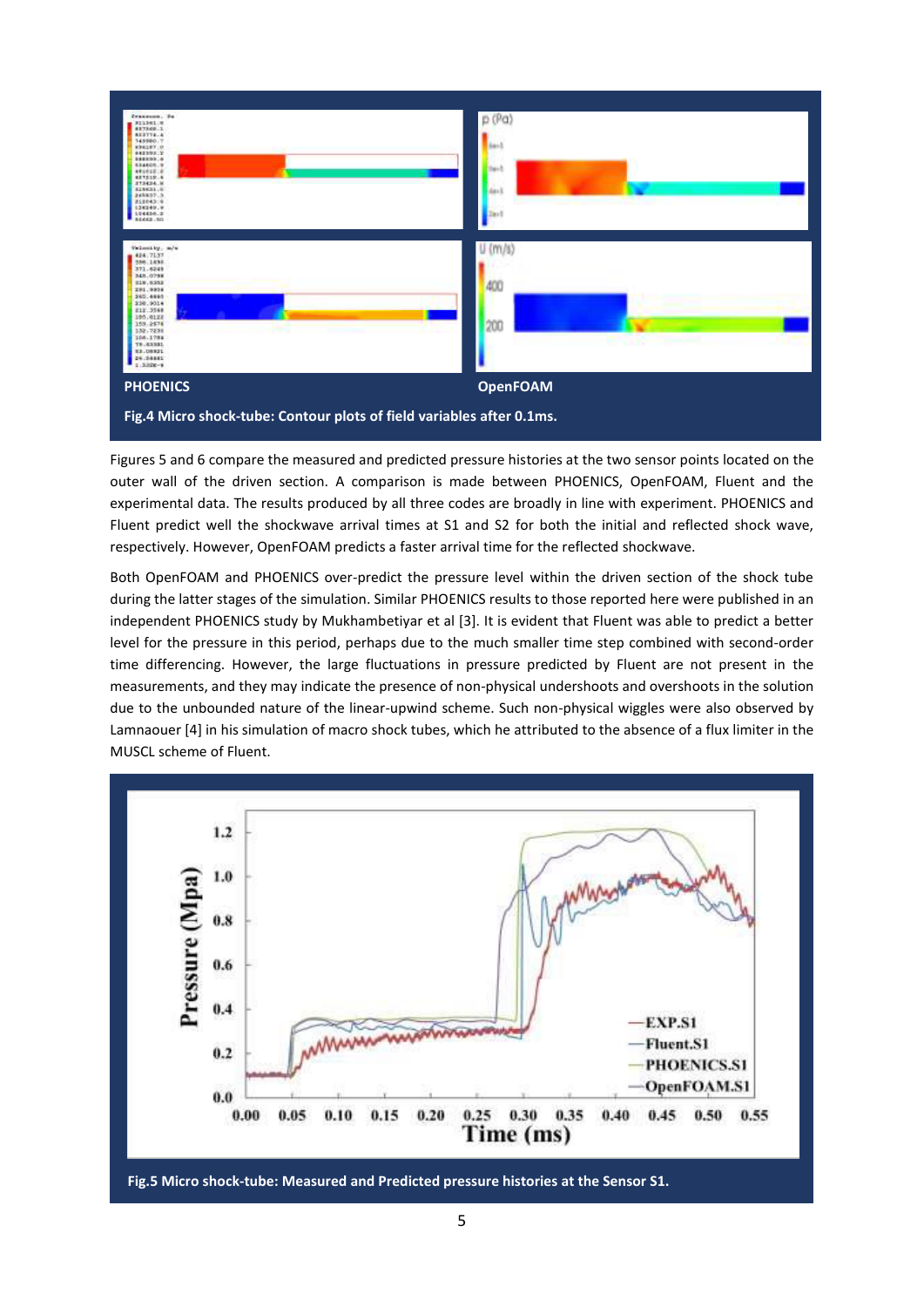

Figures 5 and 6 compare the measured and predicted pressure histories at the two sensor points located on the outer wall of the driven section. A comparison is made between PHOENICS, OpenFOAM, Fluent and the experimental data. The results produced by all three codes are broadly in line with experiment. PHOENICS and Fluent predict well the shockwave arrival times at S1 and S2 for both the initial and reflected shock wave, respectively. However, OpenFOAM predicts a faster arrival time for the reflected shockwave.

Both OpenFOAM and PHOENICS over-predict the pressure level within the driven section of the shock tube during the latter stages of the simulation. Similar PHOENICS results to those reported here were published in an independent PHOENICS study by Mukhambetiyar et al [3]. It is evident that Fluent was able to predict a better level for the pressure in this period, perhaps due to the much smaller time step combined with second-order time differencing. However, the large fluctuations in pressure predicted by Fluent are not present in the measurements, and they may indicate the presence of non-physical undershoots and overshoots in the solution due to the unbounded nature of the linear-upwind scheme. Such non-physical wiggles were also observed by Lamnaouer [4] in his simulation of macro shock tubes, which he attributed to the absence of a flux limiter in the MUSCL scheme of Fluent.



**Fig.5 Micro shock-tube: Measured and Predicted pressure histories at the Sensor S1.**